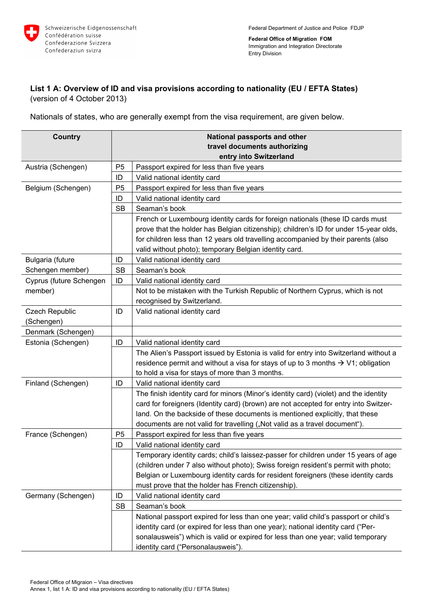

**Federal Office of Migration FOM**  Immigration and Integration Directorate Entry Division

## **List 1 A: Overview of ID and visa provisions according to nationality (EU / EFTA States)**  (version of 4 October 2013)

Nationals of states, who are generally exempt from the visa requirement, are given below.

| <b>Country</b>          | National passports and other |                                                                                              |  |  |
|-------------------------|------------------------------|----------------------------------------------------------------------------------------------|--|--|
|                         |                              | travel documents authorizing                                                                 |  |  |
|                         |                              | entry into Switzerland                                                                       |  |  |
| Austria (Schengen)      | P <sub>5</sub>               | Passport expired for less than five years                                                    |  |  |
|                         | ID                           | Valid national identity card                                                                 |  |  |
| Belgium (Schengen)      | P <sub>5</sub>               | Passport expired for less than five years                                                    |  |  |
|                         | ID                           | Valid national identity card                                                                 |  |  |
|                         | <b>SB</b>                    | Seaman's book                                                                                |  |  |
|                         |                              | French or Luxembourg identity cards for foreign nationals (these ID cards must               |  |  |
|                         |                              | prove that the holder has Belgian citizenship); children's ID for under 15-year olds,        |  |  |
|                         |                              | for children less than 12 years old travelling accompanied by their parents (also            |  |  |
|                         |                              | valid without photo); temporary Belgian identity card.                                       |  |  |
| Bulgaria (future        | ID                           | Valid national identity card                                                                 |  |  |
| Schengen member)        | <b>SB</b>                    | Seaman's book                                                                                |  |  |
| Cyprus (future Schengen | ID                           | Valid national identity card                                                                 |  |  |
| member)                 |                              | Not to be mistaken with the Turkish Republic of Northern Cyprus, which is not                |  |  |
|                         |                              | recognised by Switzerland.                                                                   |  |  |
| <b>Czech Republic</b>   | ID                           | Valid national identity card                                                                 |  |  |
| (Schengen)              |                              |                                                                                              |  |  |
| Denmark (Schengen)      |                              |                                                                                              |  |  |
| Estonia (Schengen)      | ID                           | Valid national identity card                                                                 |  |  |
|                         |                              | The Alien's Passport issued by Estonia is valid for entry into Switzerland without a         |  |  |
|                         |                              | residence permit and without a visa for stays of up to 3 months $\rightarrow$ V1; obligation |  |  |
|                         |                              | to hold a visa for stays of more than 3 months.                                              |  |  |
| Finland (Schengen)      | ID                           | Valid national identity card                                                                 |  |  |
|                         |                              | The finish identity card for minors (Minor's identity card) (violet) and the identity        |  |  |
|                         |                              | card for foreigners (Identity card) (brown) are not accepted for entry into Switzer-         |  |  |
|                         |                              | land. On the backside of these documents is mentioned explicitly, that these                 |  |  |
|                         |                              | documents are not valid for travelling ("Not valid as a travel document").                   |  |  |
| France (Schengen)       | P <sub>5</sub>               | Passport expired for less than five years                                                    |  |  |
|                         | ID                           | Valid national identity card                                                                 |  |  |
|                         |                              | Temporary identity cards; child's laissez-passer for children under 15 years of age          |  |  |
|                         |                              | (children under 7 also without photo); Swiss foreign resident's permit with photo;           |  |  |
|                         |                              | Belgian or Luxembourg identity cards for resident foreigners (these identity cards           |  |  |
|                         |                              | must prove that the holder has French citizenship).                                          |  |  |
| Germany (Schengen)      | ID                           | Valid national identity card                                                                 |  |  |
|                         | <b>SB</b>                    | Seaman's book                                                                                |  |  |
|                         |                              | National passport expired for less than one year; valid child's passport or child's          |  |  |
|                         |                              | identity card (or expired for less than one year); national identity card ("Per-             |  |  |
|                         |                              | sonalausweis") which is valid or expired for less than one year; valid temporary             |  |  |
|                         |                              | identity card ("Personalausweis").                                                           |  |  |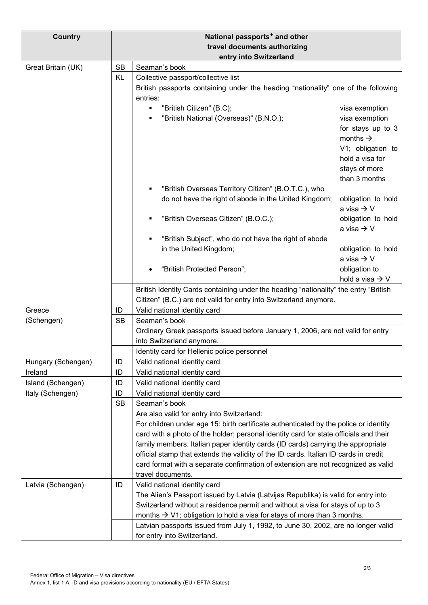| <b>Country</b>                |                              | National passports <sup>*</sup> and other                                             |                                      |  |
|-------------------------------|------------------------------|---------------------------------------------------------------------------------------|--------------------------------------|--|
|                               | travel documents authorizing |                                                                                       |                                      |  |
|                               |                              | entry into Switzerland                                                                |                                      |  |
| Great Britain (UK)            | <b>SB</b>                    | Seaman's book                                                                         |                                      |  |
|                               | KL                           | Collective passport/collective list                                                   |                                      |  |
|                               |                              | British passports containing under the heading "nationality" one of the following     |                                      |  |
|                               |                              | entries:                                                                              |                                      |  |
|                               |                              | "British Citizen" (B.C);<br>٠                                                         | visa exemption                       |  |
|                               |                              | "British National (Overseas)" (B.N.O.);<br>٠                                          | visa exemption                       |  |
|                               |                              |                                                                                       | for stays up to 3                    |  |
|                               |                              |                                                                                       | months $\rightarrow$                 |  |
|                               |                              |                                                                                       | V1; obligation to<br>hold a visa for |  |
|                               |                              |                                                                                       | stays of more                        |  |
|                               |                              |                                                                                       | than 3 months                        |  |
|                               |                              | "British Overseas Territory Citizen" (B.O.T.C.), who<br>٠                             |                                      |  |
|                               |                              | do not have the right of abode in the United Kingdom;                                 | obligation to hold                   |  |
|                               |                              |                                                                                       | a visa $\rightarrow$ V               |  |
|                               |                              | "British Overseas Citizen" (B.O.C.);<br>٠                                             | obligation to hold                   |  |
|                               |                              |                                                                                       | a visa $\rightarrow$ V               |  |
|                               |                              | "British Subject", who do not have the right of abode                                 |                                      |  |
|                               |                              | in the United Kingdom;                                                                | obligation to hold                   |  |
|                               |                              |                                                                                       | a visa $\rightarrow$ V               |  |
|                               |                              | "British Protected Person";                                                           | obligation to                        |  |
|                               |                              |                                                                                       | hold a visa $\rightarrow$ V          |  |
|                               |                              | British Identity Cards containing under the heading "nationality" the entry "British  |                                      |  |
|                               |                              | Citizen" (B.C.) are not valid for entry into Switzerland anymore.                     |                                      |  |
| Greece                        | ID                           | Valid national identity card                                                          |                                      |  |
| (Schengen)                    | <b>SB</b>                    | Seaman's book                                                                         |                                      |  |
|                               |                              | Ordinary Greek passports issued before January 1, 2006, are not valid for entry       |                                      |  |
|                               |                              | into Switzerland anymore.                                                             |                                      |  |
|                               | ID                           | Identity card for Hellenic police personnel                                           |                                      |  |
| Hungary (Schengen)<br>Ireland | ID                           | Valid national identity card<br>Valid national identity card                          |                                      |  |
| Island (Schengen)             | ID                           | Valid national identity card                                                          |                                      |  |
| Italy (Schengen)              | ID                           | Valid national identity card                                                          |                                      |  |
|                               | <b>SB</b>                    | Seaman's book                                                                         |                                      |  |
|                               |                              | Are also valid for entry into Switzerland:                                            |                                      |  |
|                               |                              | For children under age 15: birth certificate authenticated by the police or identity  |                                      |  |
|                               |                              | card with a photo of the holder; personal identity card for state officials and their |                                      |  |
|                               |                              | family members. Italian paper identity cards (ID cards) carrying the appropriate      |                                      |  |
|                               |                              | official stamp that extends the validity of the ID cards. Italian ID cards in credit  |                                      |  |
|                               |                              | card format with a separate confirmation of extension are not recognized as valid     |                                      |  |
|                               |                              | travel documents.                                                                     |                                      |  |
| Latvia (Schengen)             | ID                           | Valid national identity card                                                          |                                      |  |
|                               |                              | The Alien's Passport issued by Latvia (Latvijas Republika) is valid for entry into    |                                      |  |
|                               |                              | Switzerland without a residence permit and without a visa for stays of up to 3        |                                      |  |
|                               |                              | months $\rightarrow$ V1; obligation to hold a visa for stays of more than 3 months.   |                                      |  |
|                               |                              | Latvian passports issued from July 1, 1992, to June 30, 2002, are no longer valid     |                                      |  |
|                               |                              | for entry into Switzerland.                                                           |                                      |  |